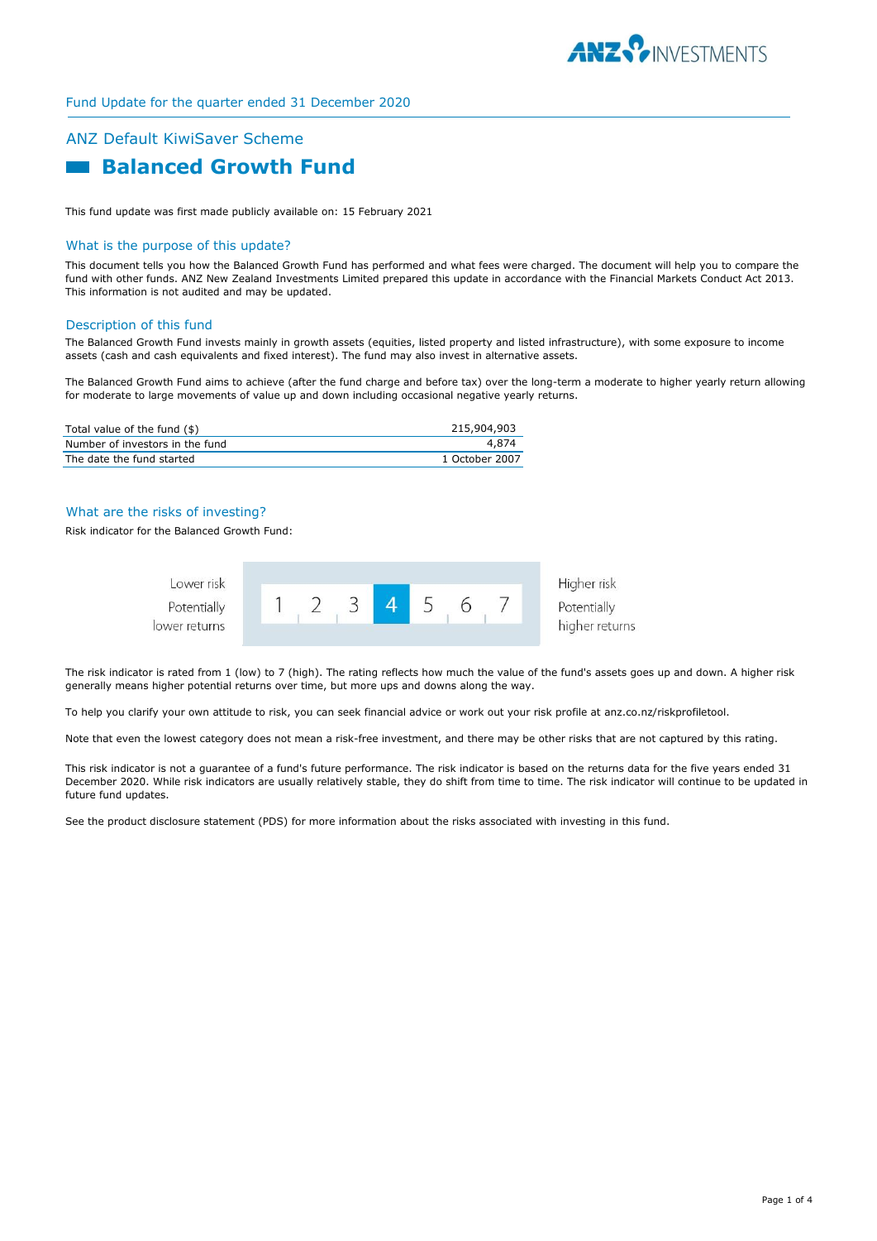

# ANZ Default KiwiSaver Scheme  **Balanced Growth Fund**

This fund update was first made publicly available on: 15 February 2021

### What is the purpose of this update?

This document tells you how the Balanced Growth Fund has performed and what fees were charged. The document will help you to compare the fund with other funds. ANZ New Zealand Investments Limited prepared this update in accordance with the Financial Markets Conduct Act 2013. This information is not audited and may be updated.

### Description of this fund

The Balanced Growth Fund invests mainly in growth assets (equities, listed property and listed infrastructure), with some exposure to income assets (cash and cash equivalents and fixed interest). The fund may also invest in alternative assets.

The Balanced Growth Fund aims to achieve (after the fund charge and before tax) over the long-term a moderate to higher yearly return allowing for moderate to large movements of value up and down including occasional negative yearly returns.

| Total value of the fund (\$)    | 215,904,903    |
|---------------------------------|----------------|
| Number of investors in the fund | 4.874          |
| The date the fund started       | 1 October 2007 |

### What are the risks of investing?

Risk indicator for the Balanced Growth Fund:



The risk indicator is rated from 1 (low) to 7 (high). The rating reflects how much the value of the fund's assets goes up and down. A higher risk generally means higher potential returns over time, but more ups and downs along the way.

To help you clarify your own attitude to risk, you can seek financial advice or work out your risk profile at anz.co.nz/riskprofiletool.

Note that even the lowest category does not mean a risk-free investment, and there may be other risks that are not captured by this rating.

This risk indicator is not a guarantee of a fund's future performance. The risk indicator is based on the returns data for the five years ended 31 December 2020. While risk indicators are usually relatively stable, they do shift from time to time. The risk indicator will continue to be updated in future fund updates.

See the product disclosure statement (PDS) for more information about the risks associated with investing in this fund.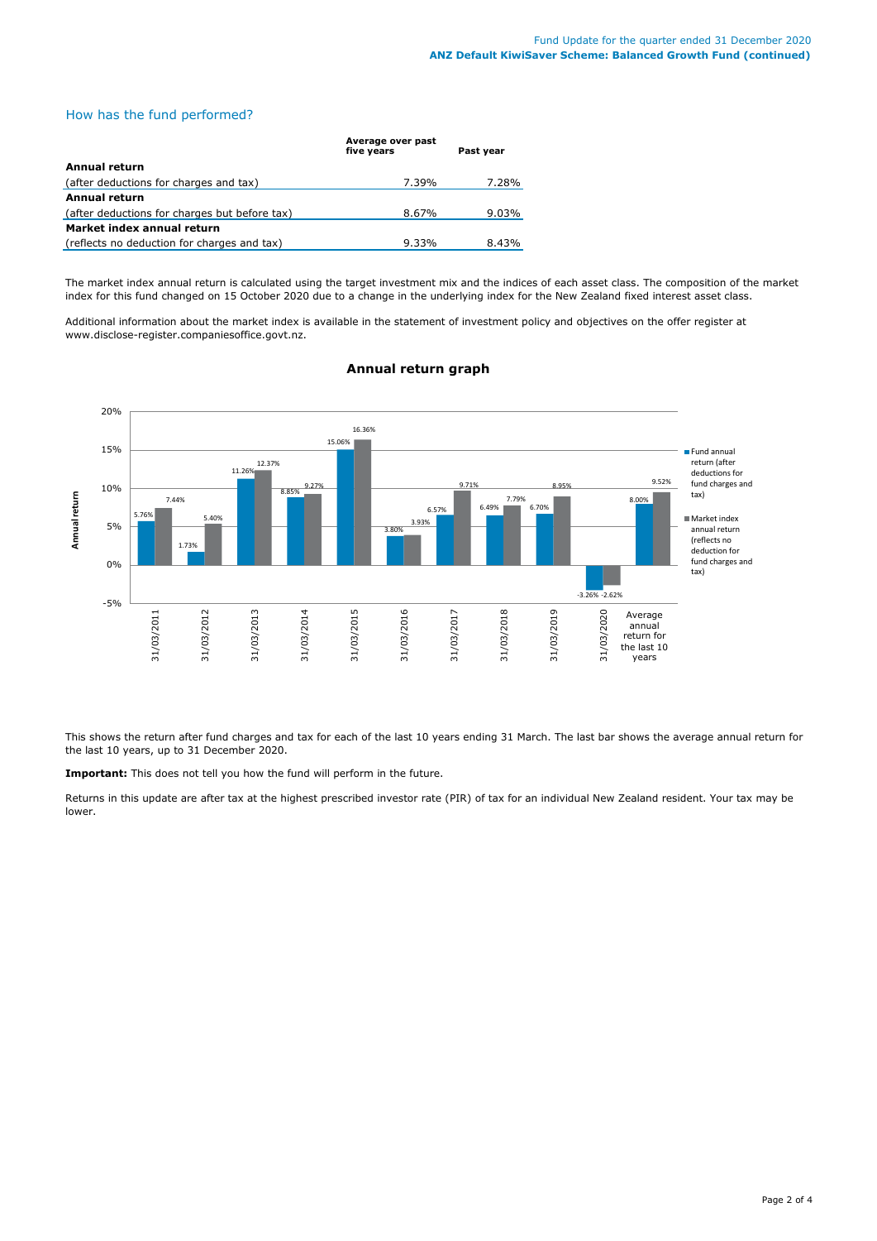### How has the fund performed?

|                                               | Average over past<br>five years | Past year |
|-----------------------------------------------|---------------------------------|-----------|
| Annual return                                 |                                 |           |
| (after deductions for charges and tax)        | 7.39%                           | 7.28%     |
| <b>Annual return</b>                          |                                 |           |
| (after deductions for charges but before tax) | 8.67%                           | $9.03\%$  |
| Market index annual return                    |                                 |           |
| (reflects no deduction for charges and tax)   | 9.33%                           | 8.43%     |

The market index annual return is calculated using the target investment mix and the indices of each asset class. The composition of the market index for this fund changed on 15 October 2020 due to a change in the underlying index for the New Zealand fixed interest asset class.

Additional information about the market index is available in the statement of investment policy and objectives on the offer register at www.disclose-register.companiesoffice.govt.nz.



## **Annual return graph**

This shows the return after fund charges and tax for each of the last 10 years ending 31 March. The last bar shows the average annual return for the last 10 years, up to 31 December 2020.

**Important:** This does not tell you how the fund will perform in the future.

Returns in this update are after tax at the highest prescribed investor rate (PIR) of tax for an individual New Zealand resident. Your tax may be lower.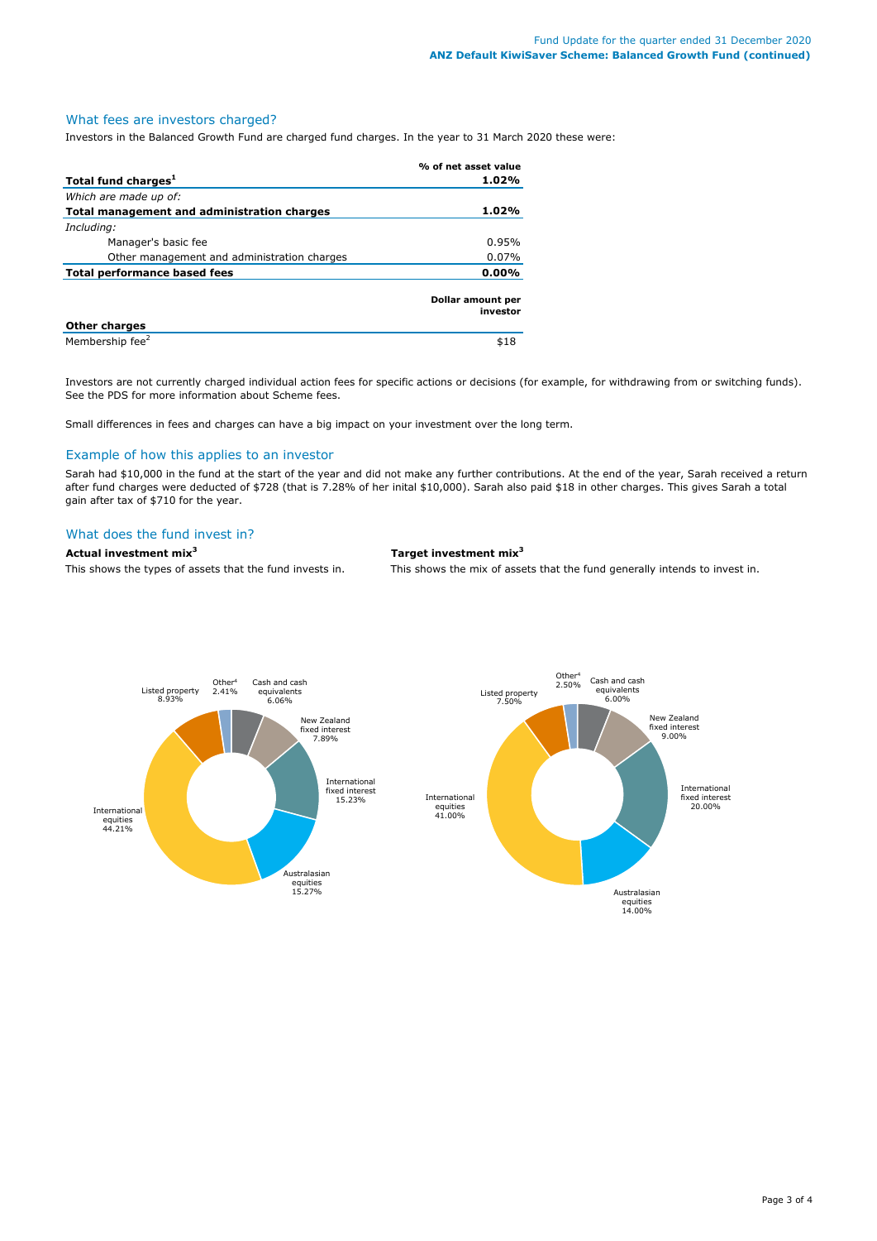### What fees are investors charged?

Investors in the Balanced Growth Fund are charged fund charges. In the year to 31 March 2020 these were:

|                                             | % of net asset value          |  |
|---------------------------------------------|-------------------------------|--|
| Total fund charges <sup>1</sup>             | 1.02%                         |  |
| Which are made up of:                       |                               |  |
| Total management and administration charges | 1.02%                         |  |
| Including:                                  |                               |  |
| Manager's basic fee                         | 0.95%                         |  |
| Other management and administration charges | $0.07\%$                      |  |
| <b>Total performance based fees</b>         | 0.00%                         |  |
|                                             | Dollar amount per<br>investor |  |
| <b>Other charges</b>                        |                               |  |
| Membership fee <sup>2</sup>                 | \$18                          |  |

Investors are not currently charged individual action fees for specific actions or decisions (for example, for withdrawing from or switching funds). See the PDS for more information about Scheme fees.

Small differences in fees and charges can have a big impact on your investment over the long term.

### Example of how this applies to an investor

Sarah had \$10,000 in the fund at the start of the year and did not make any further contributions. At the end of the year, Sarah received a return after fund charges were deducted of \$728 (that is 7.28% of her inital \$10,000). Sarah also paid \$18 in other charges. This gives Sarah a total gain after tax of \$710 for the year.

### What does the fund invest in?

### **Actual investment mix<sup>3</sup> Target investment mix<sup>3</sup>**

This shows the types of assets that the fund invests in. This shows the mix of assets that the fund generally intends to invest in.